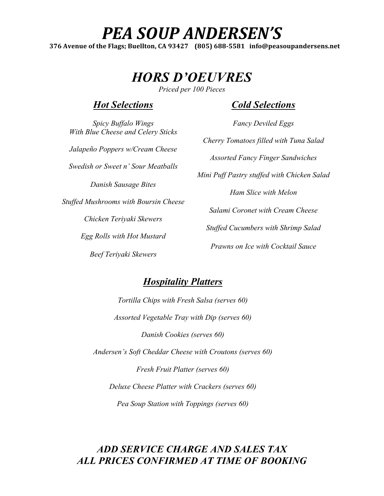# PEA SOUP ANDERSEN'S

376 Avenue of the Flags; Buellton, CA 93427 (805) 688-5581 info@peasoupandersens.net

*HORS D'OEUVRES*

*Priced per 100 Pieces*

#### *Hot Selections*

*Cold Selections*

*Fancy Deviled Eggs*

*Spicy Buffalo Wings With Blue Cheese and Celery Sticks Jalapeño Poppers w/Cream Cheese Swedish or Sweet n' Sour Meatballs Danish Sausage Bites Stuffed Mushrooms with Boursin Cheese Chicken Teriyaki Skewers Egg Rolls with Hot Mustard Beef Teriyaki Skewers*

*Cherry Tomatoes filled with Tuna Salad Assorted Fancy Finger Sandwiches Mini Puff Pastry stuffed with Chicken Salad Ham Slice with Melon Salami Coronet with Cream Cheese Stuffed Cucumbers with Shrimp Salad Prawns on Ice with Cocktail Sauce*

## *Hospitality Platters*

*Tortilla Chips with Fresh Salsa (serves 60) Assorted Vegetable Tray with Dip (serves 60) Danish Cookies (serves 60) Andersen's Soft Cheddar Cheese with Croutons (serves 60) Fresh Fruit Platter (serves 60) Deluxe Cheese Platter with Crackers (serves 60) Pea Soup Station with Toppings (serves 60)*

## *ADD SERVICE CHARGE AND SALES TAX ALL PRICES CONFIRMED AT TIME OF BOOKING*